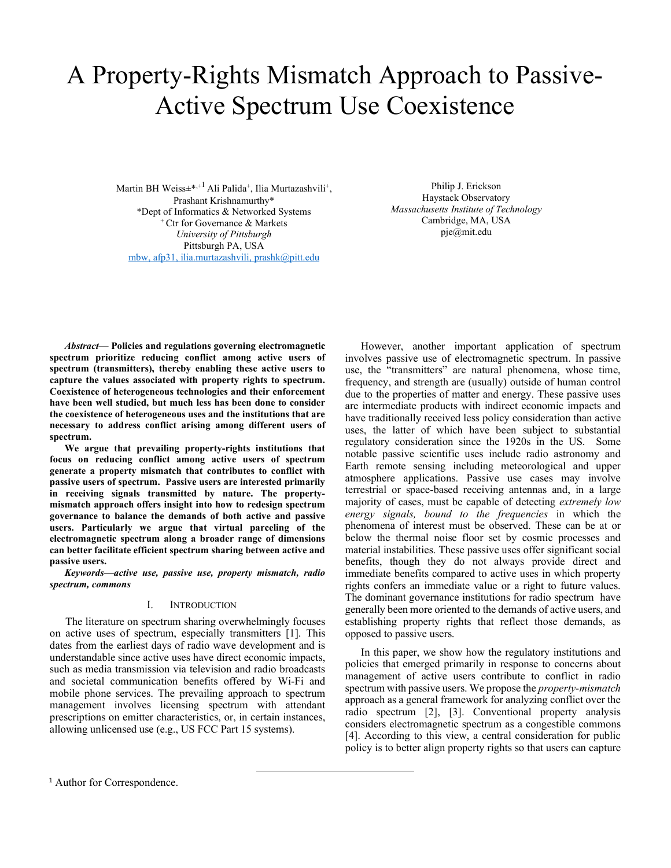# A Property-Rights Mismatch Approach to Passive-Active Spectrum Use Coexistence

Martin BH Weiss $\pm^{*,+1}$  Ali Palida<sup>+</sup>, Ilia Murtazashvili<sup>+</sup>, Prashant Krishnamurthy\* \*Dept of Informatics & Networked Systems <sup>+</sup>Ctr for Governance & Markets University of Pittsburgh Pittsburgh PA, USA mbw, afp31, ilia.murtazashvili, prashk@pitt.edu

Philip J. Erickson Haystack Observatory Massachusetts Institute of Technology Cambridge, MA, USA pje@mit.edu

Abstract— Policies and regulations governing electromagnetic spectrum prioritize reducing conflict among active users of spectrum (transmitters), thereby enabling these active users to capture the values associated with property rights to spectrum. Coexistence of heterogeneous technologies and their enforcement have been well studied, but much less has been done to consider the coexistence of heterogeneous uses and the institutions that are necessary to address conflict arising among different users of spectrum.

We argue that prevailing property-rights institutions that focus on reducing conflict among active users of spectrum generate a property mismatch that contributes to conflict with passive users of spectrum. Passive users are interested primarily in receiving signals transmitted by nature. The propertymismatch approach offers insight into how to redesign spectrum governance to balance the demands of both active and passive users. Particularly we argue that virtual parceling of the electromagnetic spectrum along a broader range of dimensions can better facilitate efficient spectrum sharing between active and passive users.

Keywords—active use, passive use, property mismatch, radio spectrum, commons

## I. INTRODUCTION

The literature on spectrum sharing overwhelmingly focuses on active uses of spectrum, especially transmitters [1]. This dates from the earliest days of radio wave development and is understandable since active uses have direct economic impacts, such as media transmission via television and radio broadcasts and societal communication benefits offered by Wi-Fi and mobile phone services. The prevailing approach to spectrum management involves licensing spectrum with attendant prescriptions on emitter characteristics, or, in certain instances, allowing unlicensed use (e.g., US FCC Part 15 systems).

 However, another important application of spectrum involves passive use of electromagnetic spectrum. In passive use, the "transmitters" are natural phenomena, whose time, frequency, and strength are (usually) outside of human control due to the properties of matter and energy. These passive uses are intermediate products with indirect economic impacts and have traditionally received less policy consideration than active uses, the latter of which have been subject to substantial regulatory consideration since the 1920s in the US. Some notable passive scientific uses include radio astronomy and Earth remote sensing including meteorological and upper atmosphere applications. Passive use cases may involve terrestrial or space-based receiving antennas and, in a large majority of cases, must be capable of detecting extremely low energy signals, bound to the frequencies in which the phenomena of interest must be observed. These can be at or below the thermal noise floor set by cosmic processes and material instabilities. These passive uses offer significant social benefits, though they do not always provide direct and immediate benefits compared to active uses in which property rights confers an immediate value or a right to future values. The dominant governance institutions for radio spectrum have generally been more oriented to the demands of active users, and establishing property rights that reflect those demands, as opposed to passive users.

In this paper, we show how the regulatory institutions and policies that emerged primarily in response to concerns about management of active users contribute to conflict in radio spectrum with passive users. We propose the *property-mismatch* approach as a general framework for analyzing conflict over the radio spectrum [2], [3]. Conventional property analysis considers electromagnetic spectrum as a congestible commons [4]. According to this view, a central consideration for public policy is to better align property rights so that users can capture

<sup>&</sup>lt;sup>1</sup> Author for Correspondence.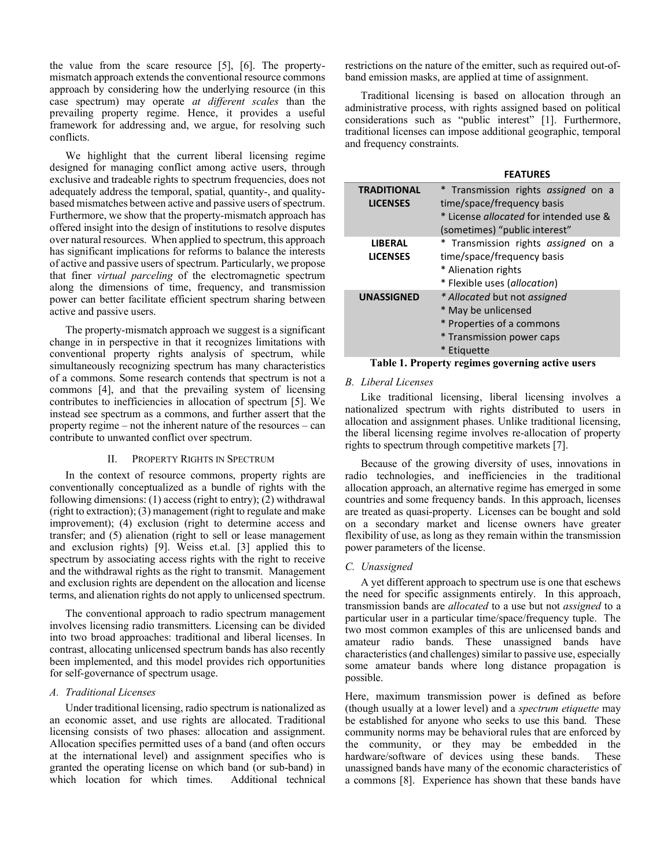the value from the scare resource [5], [6]. The propertymismatch approach extends the conventional resource commons approach by considering how the underlying resource (in this case spectrum) may operate at different scales than the prevailing property regime. Hence, it provides a useful framework for addressing and, we argue, for resolving such conflicts.

 We highlight that the current liberal licensing regime designed for managing conflict among active users, through exclusive and tradeable rights to spectrum frequencies, does not adequately address the temporal, spatial, quantity-, and qualitybased mismatches between active and passive users of spectrum. Furthermore, we show that the property-mismatch approach has offered insight into the design of institutions to resolve disputes over natural resources. When applied to spectrum, this approach has significant implications for reforms to balance the interests of active and passive users of spectrum. Particularly, we propose that finer virtual parceling of the electromagnetic spectrum along the dimensions of time, frequency, and transmission power can better facilitate efficient spectrum sharing between active and passive users.

 The property-mismatch approach we suggest is a significant change in in perspective in that it recognizes limitations with conventional property rights analysis of spectrum, while simultaneously recognizing spectrum has many characteristics of a commons. Some research contends that spectrum is not a commons [4], and that the prevailing system of licensing contributes to inefficiencies in allocation of spectrum [5]. We instead see spectrum as a commons, and further assert that the property regime – not the inherent nature of the resources – can contribute to unwanted conflict over spectrum.

#### II. PROPERTY RIGHTS IN SPECTRUM

In the context of resource commons, property rights are conventionally conceptualized as a bundle of rights with the following dimensions: (1) access (right to entry); (2) withdrawal (right to extraction); (3) management (right to regulate and make improvement); (4) exclusion (right to determine access and transfer; and (5) alienation (right to sell or lease management and exclusion rights) [9]. Weiss et.al. [3] applied this to spectrum by associating access rights with the right to receive and the withdrawal rights as the right to transmit. Management and exclusion rights are dependent on the allocation and license terms, and alienation rights do not apply to unlicensed spectrum.

The conventional approach to radio spectrum management involves licensing radio transmitters. Licensing can be divided into two broad approaches: traditional and liberal licenses. In contrast, allocating unlicensed spectrum bands has also recently been implemented, and this model provides rich opportunities for self-governance of spectrum usage.

# A. Traditional Licenses

Under traditional licensing, radio spectrum is nationalized as an economic asset, and use rights are allocated. Traditional licensing consists of two phases: allocation and assignment. Allocation specifies permitted uses of a band (and often occurs at the international level) and assignment specifies who is granted the operating license on which band (or sub-band) in which location for which times. Additional technical restrictions on the nature of the emitter, such as required out-ofband emission masks, are applied at time of assignment.

Traditional licensing is based on allocation through an administrative process, with rights assigned based on political considerations such as "public interest" [1]. Furthermore, traditional licenses can impose additional geographic, temporal and frequency constraints.

#### FEATURES

| <b>TRADITIONAL</b><br><b>LICENSES</b> | * Transmission rights assigned on a<br>time/space/frequency basis                                                            |  |  |
|---------------------------------------|------------------------------------------------------------------------------------------------------------------------------|--|--|
|                                       | * License <i>allocated</i> for intended use &<br>(sometimes) "public interest"                                               |  |  |
| <b>LIBERAL</b><br><b>LICENSES</b>     | * Transmission rights assigned on a<br>time/space/frequency basis<br>* Alienation rights<br>* Flexible uses (allocation)     |  |  |
| <b>UNASSIGNED</b>                     | * Allocated but not assigned<br>* May be unlicensed<br>* Properties of a commons<br>* Transmission power caps<br>* Etiquette |  |  |

#### Table 1. Property regimes governing active users

#### B. Liberal Licenses

Like traditional licensing, liberal licensing involves a nationalized spectrum with rights distributed to users in allocation and assignment phases. Unlike traditional licensing, the liberal licensing regime involves re-allocation of property rights to spectrum through competitive markets [7].

Because of the growing diversity of uses, innovations in radio technologies, and inefficiencies in the traditional allocation approach, an alternative regime has emerged in some countries and some frequency bands. In this approach, licenses are treated as quasi-property. Licenses can be bought and sold on a secondary market and license owners have greater flexibility of use, as long as they remain within the transmission power parameters of the license.

#### C. Unassigned

A yet different approach to spectrum use is one that eschews the need for specific assignments entirely. In this approach, transmission bands are allocated to a use but not assigned to a particular user in a particular time/space/frequency tuple. The two most common examples of this are unlicensed bands and amateur radio bands. These unassigned bands have characteristics (and challenges) similar to passive use, especially some amateur bands where long distance propagation is possible.

Here, maximum transmission power is defined as before (though usually at a lower level) and a spectrum etiquette may be established for anyone who seeks to use this band. These community norms may be behavioral rules that are enforced by the community, or they may be embedded in the hardware/software of devices using these bands. These unassigned bands have many of the economic characteristics of a commons [8]. Experience has shown that these bands have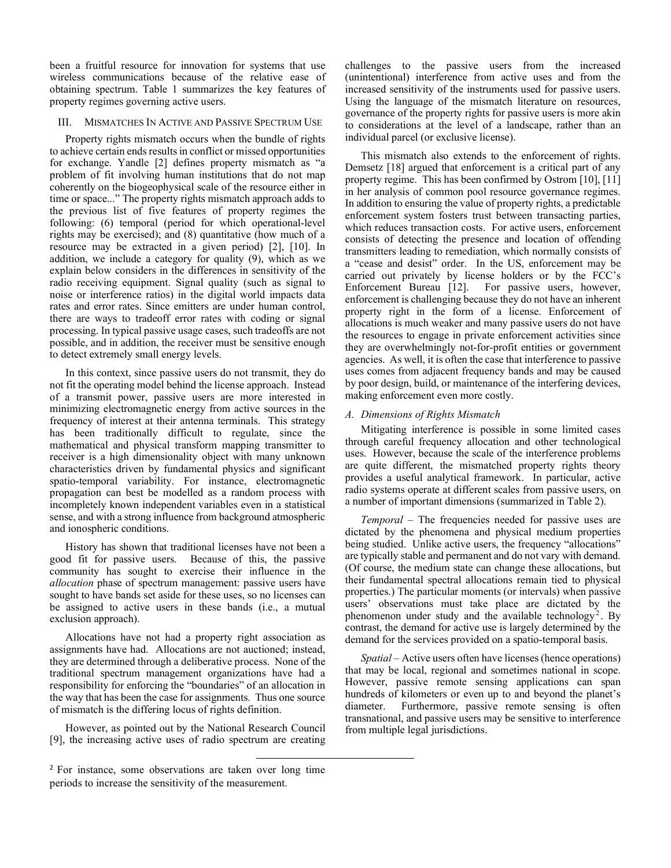been a fruitful resource for innovation for systems that use wireless communications because of the relative ease of obtaining spectrum. Table 1 summarizes the key features of property regimes governing active users.

## III. MISMATCHES IN ACTIVE AND PASSIVE SPECTRUM USE

 Property rights mismatch occurs when the bundle of rights to achieve certain ends results in conflict or missed opportunities for exchange. Yandle [2] defines property mismatch as "a problem of fit involving human institutions that do not map coherently on the biogeophysical scale of the resource either in time or space..." The property rights mismatch approach adds to the previous list of five features of property regimes the following: (6) temporal (period for which operational-level rights may be exercised); and (8) quantitative (how much of a resource may be extracted in a given period) [2], [10]. In addition, we include a category for quality (9), which as we explain below considers in the differences in sensitivity of the radio receiving equipment. Signal quality (such as signal to noise or interference ratios) in the digital world impacts data rates and error rates. Since emitters are under human control, there are ways to tradeoff error rates with coding or signal processing. In typical passive usage cases, such tradeoffs are not possible, and in addition, the receiver must be sensitive enough to detect extremely small energy levels.

 In this context, since passive users do not transmit, they do not fit the operating model behind the license approach. Instead of a transmit power, passive users are more interested in minimizing electromagnetic energy from active sources in the frequency of interest at their antenna terminals. This strategy has been traditionally difficult to regulate, since the mathematical and physical transform mapping transmitter to receiver is a high dimensionality object with many unknown characteristics driven by fundamental physics and significant spatio-temporal variability. For instance, electromagnetic propagation can best be modelled as a random process with incompletely known independent variables even in a statistical sense, and with a strong influence from background atmospheric and ionospheric conditions.

 History has shown that traditional licenses have not been a good fit for passive users. Because of this, the passive community has sought to exercise their influence in the allocation phase of spectrum management: passive users have sought to have bands set aside for these uses, so no licenses can be assigned to active users in these bands (i.e., a mutual exclusion approach).

 Allocations have not had a property right association as assignments have had. Allocations are not auctioned; instead, they are determined through a deliberative process. None of the traditional spectrum management organizations have had a responsibility for enforcing the "boundaries" of an allocation in the way that has been the case for assignments. Thus one source of mismatch is the differing locus of rights definition.

However, as pointed out by the National Research Council [9], the increasing active uses of radio spectrum are creating challenges to the passive users from the increased (unintentional) interference from active uses and from the increased sensitivity of the instruments used for passive users. Using the language of the mismatch literature on resources, governance of the property rights for passive users is more akin to considerations at the level of a landscape, rather than an individual parcel (or exclusive license).

 This mismatch also extends to the enforcement of rights. Demsetz [18] argued that enforcement is a critical part of any property regime. This has been confirmed by Ostrom [10], [11] in her analysis of common pool resource governance regimes. In addition to ensuring the value of property rights, a predictable enforcement system fosters trust between transacting parties, which reduces transaction costs. For active users, enforcement consists of detecting the presence and location of offending transmitters leading to remediation, which normally consists of a "cease and desist" order. In the US, enforcement may be carried out privately by license holders or by the FCC's Enforcement Bureau [12]. For passive users, however, enforcement is challenging because they do not have an inherent property right in the form of a license. Enforcement of allocations is much weaker and many passive users do not have the resources to engage in private enforcement activities since they are overwhelmingly not-for-profit entities or government agencies. As well, it is often the case that interference to passive uses comes from adjacent frequency bands and may be caused by poor design, build, or maintenance of the interfering devices, making enforcement even more costly.

#### A. Dimensions of Rights Mismatch

Mitigating interference is possible in some limited cases through careful frequency allocation and other technological uses. However, because the scale of the interference problems are quite different, the mismatched property rights theory provides a useful analytical framework. In particular, active radio systems operate at different scales from passive users, on a number of important dimensions (summarized in Table 2).

Temporal – The frequencies needed for passive uses are dictated by the phenomena and physical medium properties being studied. Unlike active users, the frequency "allocations" are typically stable and permanent and do not vary with demand. (Of course, the medium state can change these allocations, but their fundamental spectral allocations remain tied to physical properties.) The particular moments (or intervals) when passive users' observations must take place are dictated by the phenomenon under study and the available technology<sup>2</sup>. By contrast, the demand for active use is largely determined by the demand for the services provided on a spatio-temporal basis.

Spatial – Active users often have licenses (hence operations) that may be local, regional and sometimes national in scope. However, passive remote sensing applications can span hundreds of kilometers or even up to and beyond the planet's diameter. Furthermore, passive remote sensing is often transnational, and passive users may be sensitive to interference from multiple legal jurisdictions.

<sup>&</sup>lt;sup>2</sup> For instance, some observations are taken over long time periods to increase the sensitivity of the measurement.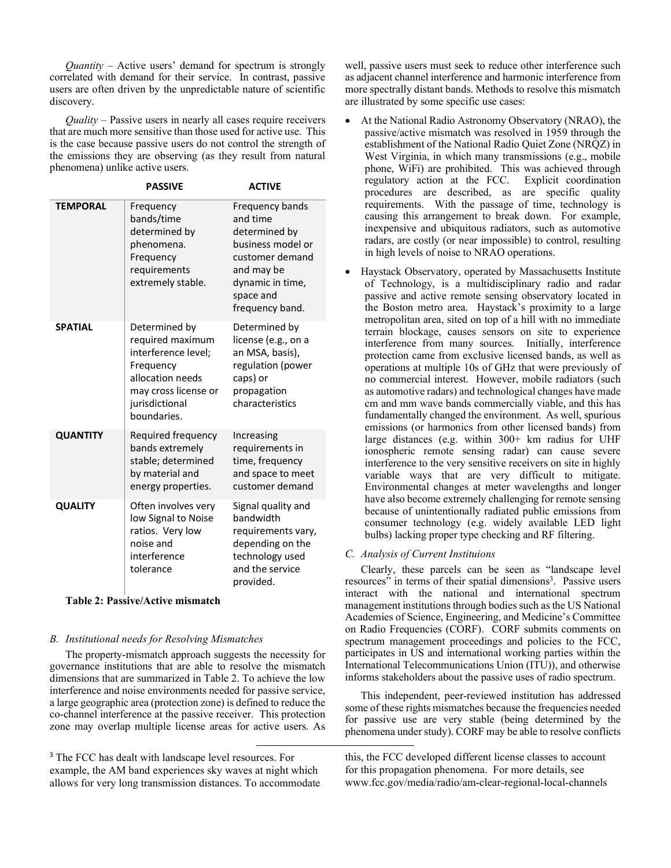*Quantity* – Active users' demand for spectrum is strongly correlated with demand for their service. In contrast, passive users are often driven by the unpredictable nature of scientific discovery.

Quality – Passive users in nearly all cases require receivers that are much more sensitive than those used for active use. This is the case because passive users do not control the strength of the emissions they are observing (as they result from natural phenomena) unlike active users.

|                 | <b>PASSIVE</b>                                                                                                                                     | <b>ACTIVE</b>                                                                                                                                          |
|-----------------|----------------------------------------------------------------------------------------------------------------------------------------------------|--------------------------------------------------------------------------------------------------------------------------------------------------------|
| <b>TEMPORAL</b> | Frequency<br>bands/time<br>determined by<br>phenomena.<br>Frequency<br>requirements<br>extremely stable.                                           | Frequency bands<br>and time<br>determined by<br>business model or<br>customer demand<br>and may be<br>dynamic in time,<br>space and<br>frequency band. |
| <b>SPATIAL</b>  | Determined by<br>required maximum<br>interference level;<br>Frequency<br>allocation needs<br>may cross license or<br>jurisdictional<br>boundaries. | Determined by<br>license (e.g., on a<br>an MSA, basis),<br>regulation (power<br>caps) or<br>propagation<br>characteristics                             |
| <b>QUANTITY</b> | Required frequency<br>bands extremely<br>stable; determined<br>by material and<br>energy properties.                                               | Increasing<br>requirements in<br>time, frequency<br>and space to meet<br>customer demand                                                               |
| <b>QUALITY</b>  | Often involves very<br>low Signal to Noise<br>ratios. Very low<br>noise and<br>interference<br>tolerance                                           | Signal quality and<br>bandwidth<br>requirements vary,<br>depending on the<br>technology used<br>and the service<br>provided.                           |

## Table 2: Passive/Active mismatch

# B. Institutional needs for Resolving Mismatches

The property-mismatch approach suggests the necessity for governance institutions that are able to resolve the mismatch dimensions that are summarized in Table 2. To achieve the low interference and noise environments needed for passive service, a large geographic area (protection zone) is defined to reduce the co-channel interference at the passive receiver. This protection zone may overlap multiple license areas for active users. As

well, passive users must seek to reduce other interference such as adjacent channel interference and harmonic interference from more spectrally distant bands. Methods to resolve this mismatch are illustrated by some specific use cases:

- At the National Radio Astronomy Observatory (NRAO), the passive/active mismatch was resolved in 1959 through the establishment of the National Radio Quiet Zone (NRQZ) in West Virginia, in which many transmissions (e.g., mobile phone, WiFi) are prohibited. This was achieved through regulatory action at the FCC. Explicit coordination procedures are described, as are specific quality requirements. With the passage of time, technology is causing this arrangement to break down. For example, inexpensive and ubiquitous radiators, such as automotive radars, are costly (or near impossible) to control, resulting in high levels of noise to NRAO operations.
- Haystack Observatory, operated by Massachusetts Institute of Technology, is a multidisciplinary radio and radar passive and active remote sensing observatory located in the Boston metro area. Haystack's proximity to a large metropolitan area, sited on top of a hill with no immediate terrain blockage, causes sensors on site to experience interference from many sources. Initially, interference protection came from exclusive licensed bands, as well as operations at multiple 10s of GHz that were previously of no commercial interest. However, mobile radiators (such as automotive radars) and technological changes have made cm and mm wave bands commercially viable, and this has fundamentally changed the environment. As well, spurious emissions (or harmonics from other licensed bands) from large distances (e.g. within 300+ km radius for UHF ionospheric remote sensing radar) can cause severe interference to the very sensitive receivers on site in highly variable ways that are very difficult to mitigate. Environmental changes at meter wavelengths and longer have also become extremely challenging for remote sensing because of unintentionally radiated public emissions from consumer technology (e.g. widely available LED light bulbs) lacking proper type checking and RF filtering.

# C. Analysis of Current Instituions

 Clearly, these parcels can be seen as "landscape level resources" in terms of their spatial dimensions<sup>3</sup>. Passive users interact with the national and international spectrum management institutions through bodies such as the US National Academies of Science, Engineering, and Medicine's Committee on Radio Frequencies (CORF). CORF submits comments on spectrum management proceedings and policies to the FCC, participates in US and international working parties within the International Telecommunications Union (ITU)), and otherwise informs stakeholders about the passive uses of radio spectrum.

 This independent, peer-reviewed institution has addressed some of these rights mismatches because the frequencies needed for passive use are very stable (being determined by the phenomena under study). CORF may be able to resolve conflicts

<sup>&</sup>lt;sup>3</sup> The FCC has dealt with landscape level resources. For example, the AM band experiences sky waves at night which allows for very long transmission distances. To accommodate

this, the FCC developed different license classes to account for this propagation phenomena. For more details, see www.fcc.gov/media/radio/am-clear-regional-local-channels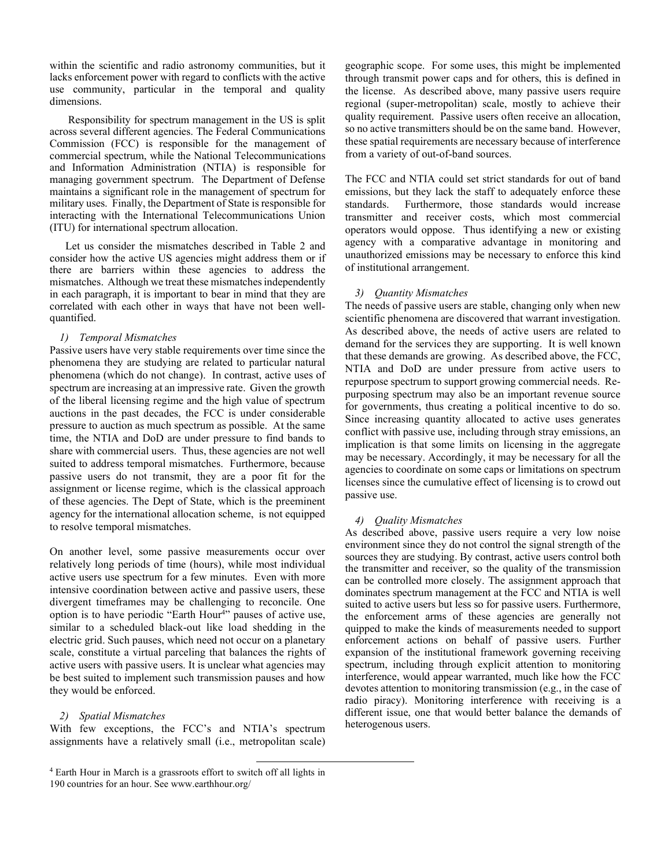within the scientific and radio astronomy communities, but it lacks enforcement power with regard to conflicts with the active use community, particular in the temporal and quality dimensions.

 Responsibility for spectrum management in the US is split across several different agencies. The Federal Communications Commission (FCC) is responsible for the management of commercial spectrum, while the National Telecommunications and Information Administration (NTIA) is responsible for managing government spectrum. The Department of Defense maintains a significant role in the management of spectrum for military uses. Finally, the Department of State is responsible for interacting with the International Telecommunications Union (ITU) for international spectrum allocation.

 Let us consider the mismatches described in Table 2 and consider how the active US agencies might address them or if there are barriers within these agencies to address the mismatches. Although we treat these mismatches independently in each paragraph, it is important to bear in mind that they are correlated with each other in ways that have not been wellquantified.

# 1) Temporal Mismatches

Passive users have very stable requirements over time since the phenomena they are studying are related to particular natural phenomena (which do not change). In contrast, active uses of spectrum are increasing at an impressive rate. Given the growth of the liberal licensing regime and the high value of spectrum auctions in the past decades, the FCC is under considerable pressure to auction as much spectrum as possible. At the same time, the NTIA and DoD are under pressure to find bands to share with commercial users. Thus, these agencies are not well suited to address temporal mismatches. Furthermore, because passive users do not transmit, they are a poor fit for the assignment or license regime, which is the classical approach of these agencies. The Dept of State, which is the preeminent agency for the international allocation scheme, is not equipped to resolve temporal mismatches.

On another level, some passive measurements occur over relatively long periods of time (hours), while most individual active users use spectrum for a few minutes. Even with more intensive coordination between active and passive users, these divergent timeframes may be challenging to reconcile. One option is to have periodic "Earth Hour<sup>4</sup>" pauses of active use, similar to a scheduled black-out like load shedding in the electric grid. Such pauses, which need not occur on a planetary scale, constitute a virtual parceling that balances the rights of active users with passive users. It is unclear what agencies may be best suited to implement such transmission pauses and how they would be enforced.

# 2) Spatial Mismatches

With few exceptions, the FCC's and NTIA's spectrum assignments have a relatively small (i.e., metropolitan scale) geographic scope. For some uses, this might be implemented through transmit power caps and for others, this is defined in the license. As described above, many passive users require regional (super-metropolitan) scale, mostly to achieve their quality requirement. Passive users often receive an allocation, so no active transmitters should be on the same band. However, these spatial requirements are necessary because of interference from a variety of out-of-band sources.

The FCC and NTIA could set strict standards for out of band emissions, but they lack the staff to adequately enforce these standards. Furthermore, those standards would increase transmitter and receiver costs, which most commercial operators would oppose. Thus identifying a new or existing agency with a comparative advantage in monitoring and unauthorized emissions may be necessary to enforce this kind of institutional arrangement.

# 3) Quantity Mismatches

The needs of passive users are stable, changing only when new scientific phenomena are discovered that warrant investigation. As described above, the needs of active users are related to demand for the services they are supporting. It is well known that these demands are growing. As described above, the FCC, NTIA and DoD are under pressure from active users to repurpose spectrum to support growing commercial needs. Repurposing spectrum may also be an important revenue source for governments, thus creating a political incentive to do so. Since increasing quantity allocated to active uses generates conflict with passive use, including through stray emissions, an implication is that some limits on licensing in the aggregate may be necessary. Accordingly, it may be necessary for all the agencies to coordinate on some caps or limitations on spectrum licenses since the cumulative effect of licensing is to crowd out passive use.

## 4) Quality Mismatches

As described above, passive users require a very low noise environment since they do not control the signal strength of the sources they are studying. By contrast, active users control both the transmitter and receiver, so the quality of the transmission can be controlled more closely. The assignment approach that dominates spectrum management at the FCC and NTIA is well suited to active users but less so for passive users. Furthermore, the enforcement arms of these agencies are generally not quipped to make the kinds of measurements needed to support enforcement actions on behalf of passive users. Further expansion of the institutional framework governing receiving spectrum, including through explicit attention to monitoring interference, would appear warranted, much like how the FCC devotes attention to monitoring transmission (e.g., in the case of radio piracy). Monitoring interference with receiving is a different issue, one that would better balance the demands of heterogenous users.

<sup>&</sup>lt;sup>4</sup> Earth Hour in March is a grassroots effort to switch off all lights in 190 countries for an hour. See www.earthhour.org/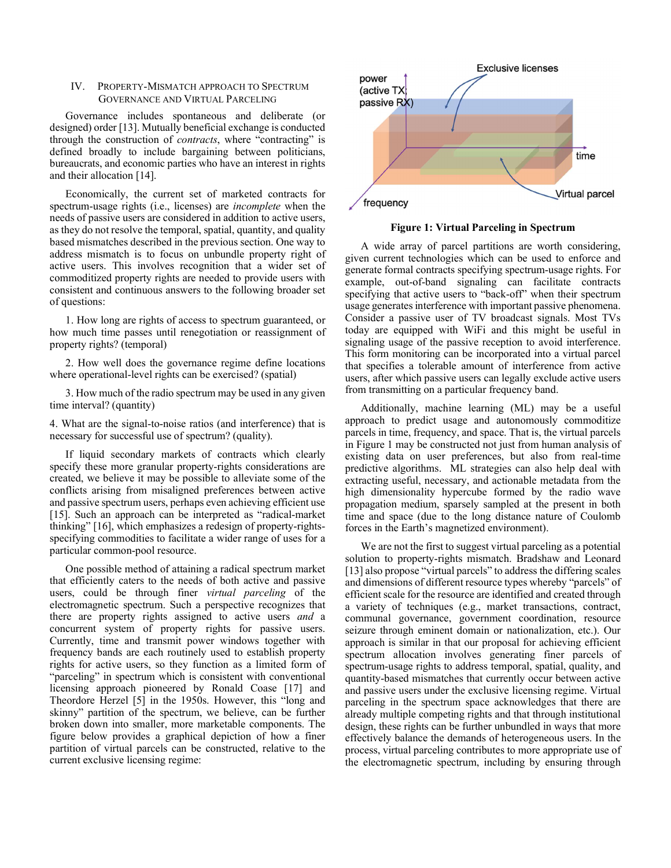# IV. PROPERTY-MISMATCH APPROACH TO SPECTRUM GOVERNANCE AND VIRTUAL PARCELING

Governance includes spontaneous and deliberate (or designed) order [13]. Mutually beneficial exchange is conducted through the construction of *contracts*, where "contracting" is defined broadly to include bargaining between politicians, bureaucrats, and economic parties who have an interest in rights and their allocation [14].

 Economically, the current set of marketed contracts for spectrum-usage rights (i.e., licenses) are incomplete when the needs of passive users are considered in addition to active users, as they do not resolve the temporal, spatial, quantity, and quality based mismatches described in the previous section. One way to address mismatch is to focus on unbundle property right of active users. This involves recognition that a wider set of commoditized property rights are needed to provide users with consistent and continuous answers to the following broader set of questions:

1. How long are rights of access to spectrum guaranteed, or how much time passes until renegotiation or reassignment of property rights? (temporal)

2. How well does the governance regime define locations where operational-level rights can be exercised? (spatial)

3. How much of the radio spectrum may be used in any given time interval? (quantity)

4. What are the signal-to-noise ratios (and interference) that is necessary for successful use of spectrum? (quality).

 If liquid secondary markets of contracts which clearly specify these more granular property-rights considerations are created, we believe it may be possible to alleviate some of the conflicts arising from misaligned preferences between active and passive spectrum users, perhaps even achieving efficient use [15]. Such an approach can be interpreted as "radical-market thinking" [16], which emphasizes a redesign of property-rightsspecifying commodities to facilitate a wider range of uses for a particular common-pool resource.

 One possible method of attaining a radical spectrum market that efficiently caters to the needs of both active and passive users, could be through finer virtual parceling of the electromagnetic spectrum. Such a perspective recognizes that there are property rights assigned to active users *and* a concurrent system of property rights for passive users. Currently, time and transmit power windows together with frequency bands are each routinely used to establish property rights for active users, so they function as a limited form of "parceling" in spectrum which is consistent with conventional licensing approach pioneered by Ronald Coase [17] and Theordore Herzel [5] in the 1950s. However, this "long and skinny" partition of the spectrum, we believe, can be further broken down into smaller, more marketable components. The figure below provides a graphical depiction of how a finer partition of virtual parcels can be constructed, relative to the current exclusive licensing regime:



Figure 1: Virtual Parceling in Spectrum

 A wide array of parcel partitions are worth considering, given current technologies which can be used to enforce and generate formal contracts specifying spectrum-usage rights. For example, out-of-band signaling can facilitate contracts specifying that active users to "back-off" when their spectrum usage generates interference with important passive phenomena. Consider a passive user of TV broadcast signals. Most TVs today are equipped with WiFi and this might be useful in signaling usage of the passive reception to avoid interference. This form monitoring can be incorporated into a virtual parcel that specifies a tolerable amount of interference from active users, after which passive users can legally exclude active users from transmitting on a particular frequency band.

 Additionally, machine learning (ML) may be a useful approach to predict usage and autonomously commoditize parcels in time, frequency, and space. That is, the virtual parcels in Figure 1 may be constructed not just from human analysis of existing data on user preferences, but also from real-time predictive algorithms. ML strategies can also help deal with extracting useful, necessary, and actionable metadata from the high dimensionality hypercube formed by the radio wave propagation medium, sparsely sampled at the present in both time and space (due to the long distance nature of Coulomb forces in the Earth's magnetized environment).

 We are not the first to suggest virtual parceling as a potential solution to property-rights mismatch. Bradshaw and Leonard [13] also propose "virtual parcels" to address the differing scales and dimensions of different resource types whereby "parcels" of efficient scale for the resource are identified and created through a variety of techniques (e.g., market transactions, contract, communal governance, government coordination, resource seizure through eminent domain or nationalization, etc.). Our approach is similar in that our proposal for achieving efficient spectrum allocation involves generating finer parcels of spectrum-usage rights to address temporal, spatial, quality, and quantity-based mismatches that currently occur between active and passive users under the exclusive licensing regime. Virtual parceling in the spectrum space acknowledges that there are already multiple competing rights and that through institutional design, these rights can be further unbundled in ways that more effectively balance the demands of heterogeneous users. In the process, virtual parceling contributes to more appropriate use of the electromagnetic spectrum, including by ensuring through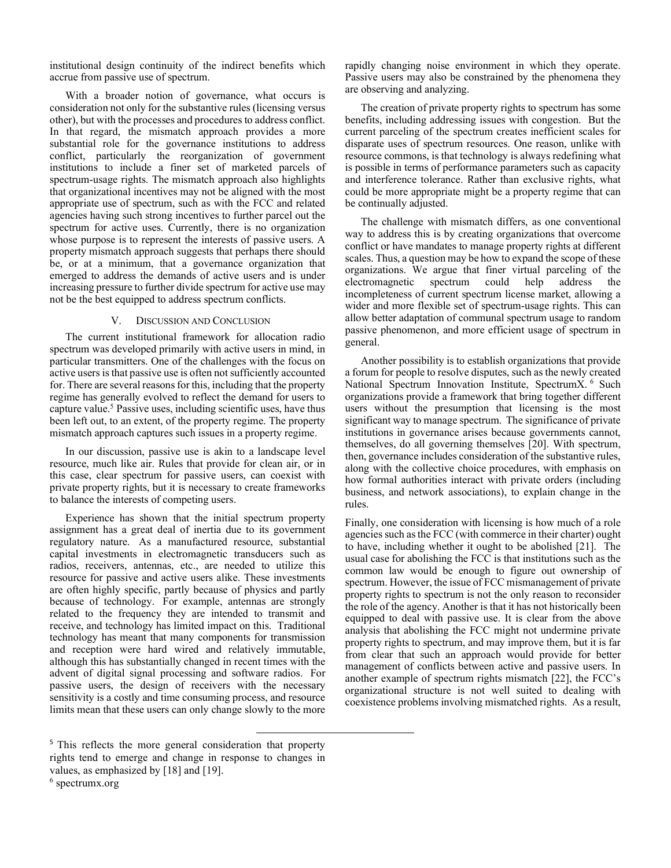institutional design continuity of the indirect benefits which accrue from passive use of spectrum.

 With a broader notion of governance, what occurs is consideration not only for the substantive rules (licensing versus other), but with the processes and procedures to address conflict. In that regard, the mismatch approach provides a more substantial role for the governance institutions to address conflict, particularly the reorganization of government institutions to include a finer set of marketed parcels of spectrum-usage rights. The mismatch approach also highlights that organizational incentives may not be aligned with the most appropriate use of spectrum, such as with the FCC and related agencies having such strong incentives to further parcel out the spectrum for active uses. Currently, there is no organization whose purpose is to represent the interests of passive users. A property mismatch approach suggests that perhaps there should be, or at a minimum, that a governance organization that emerged to address the demands of active users and is under increasing pressure to further divide spectrum for active use may not be the best equipped to address spectrum conflicts.

## V. DISCUSSION AND CONCLUSION

The current institutional framework for allocation radio spectrum was developed primarily with active users in mind, in particular transmitters. One of the challenges with the focus on active users is that passive use is often not sufficiently accounted for. There are several reasons for this, including that the property regime has generally evolved to reflect the demand for users to capture value.<sup>5</sup> Passive uses, including scientific uses, have thus been left out, to an extent, of the property regime. The property mismatch approach captures such issues in a property regime.

In our discussion, passive use is akin to a landscape level resource, much like air. Rules that provide for clean air, or in this case, clear spectrum for passive users, can coexist with private property rights, but it is necessary to create frameworks to balance the interests of competing users.

Experience has shown that the initial spectrum property assignment has a great deal of inertia due to its government regulatory nature. As a manufactured resource, substantial capital investments in electromagnetic transducers such as radios, receivers, antennas, etc., are needed to utilize this resource for passive and active users alike. These investments are often highly specific, partly because of physics and partly because of technology. For example, antennas are strongly related to the frequency they are intended to transmit and receive, and technology has limited impact on this. Traditional technology has meant that many components for transmission and reception were hard wired and relatively immutable, although this has substantially changed in recent times with the advent of digital signal processing and software radios. For passive users, the design of receivers with the necessary sensitivity is a costly and time consuming process, and resource limits mean that these users can only change slowly to the more

6 spectrumx.org

rapidly changing noise environment in which they operate. Passive users may also be constrained by the phenomena they are observing and analyzing.

 The creation of private property rights to spectrum has some benefits, including addressing issues with congestion. But the current parceling of the spectrum creates inefficient scales for disparate uses of spectrum resources. One reason, unlike with resource commons, is that technology is always redefining what is possible in terms of performance parameters such as capacity and interference tolerance. Rather than exclusive rights, what could be more appropriate might be a property regime that can be continually adjusted.

 The challenge with mismatch differs, as one conventional way to address this is by creating organizations that overcome conflict or have mandates to manage property rights at different scales. Thus, a question may be how to expand the scope of these organizations. We argue that finer virtual parceling of the electromagnetic spectrum could help address the incompleteness of current spectrum license market, allowing a wider and more flexible set of spectrum-usage rights. This can allow better adaptation of communal spectrum usage to random passive phenomenon, and more efficient usage of spectrum in general.

 Another possibility is to establish organizations that provide a forum for people to resolve disputes, such as the newly created National Spectrum Innovation Institute, SpectrumX. <sup>6</sup> Such organizations provide a framework that bring together different users without the presumption that licensing is the most significant way to manage spectrum. The significance of private institutions in governance arises because governments cannot, themselves, do all governing themselves [20]. With spectrum, then, governance includes consideration of the substantive rules, along with the collective choice procedures, with emphasis on how formal authorities interact with private orders (including business, and network associations), to explain change in the rules.

Finally, one consideration with licensing is how much of a role agencies such as the FCC (with commerce in their charter) ought to have, including whether it ought to be abolished [21]. The usual case for abolishing the FCC is that institutions such as the common law would be enough to figure out ownership of spectrum. However, the issue of FCC mismanagement of private property rights to spectrum is not the only reason to reconsider the role of the agency. Another is that it has not historically been equipped to deal with passive use. It is clear from the above analysis that abolishing the FCC might not undermine private property rights to spectrum, and may improve them, but it is far from clear that such an approach would provide for better management of conflicts between active and passive users. In another example of spectrum rights mismatch [22], the FCC's organizational structure is not well suited to dealing with coexistence problems involving mismatched rights. As a result,

<sup>&</sup>lt;sup>5</sup> This reflects the more general consideration that property rights tend to emerge and change in response to changes in values, as emphasized by [18] and [19].